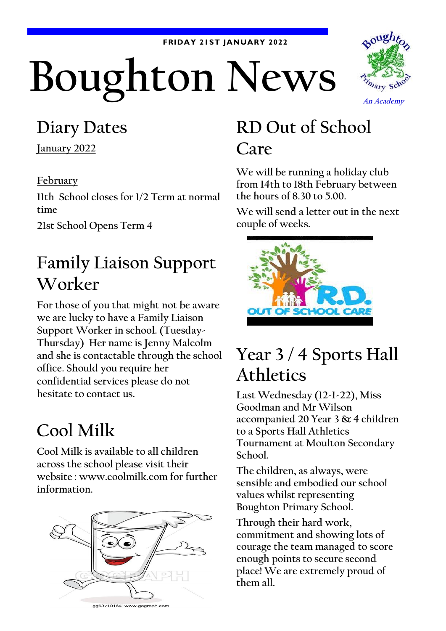#### **FRIDAY 21ST JANUARY 2022**

# Boughton News



#### **Diary Dates**

**January 2022**

#### **February**

**11th School closes for 1/2 Term at normal time**

**21st School Opens Term 4**

#### **Family Liaison Support Worker**

**For those of you that might not be aware we are lucky to have a Family Liaison Support Worker in school. (Tuesday-Thursday) Her name is Jenny Malcolm and she is contactable through the school office. Should you require her confidential services please do not hesitate to contact us.**

### **Cool Milk**

**Cool Milk is available to all children across the school please visit their website : www.coolmilk.com for further information.**



# **RD Out of School Care**

**We will be running a holiday club from 14th to 18th February between the hours of 8.30 to 5.00.**

**We will send a letter out in the next couple of weeks.**



# **Year 3 / 4 Sports Hall Athletics**

**Last Wednesday (12-1-22), Miss Goodman and Mr Wilson accompanied 20 Year 3 & 4 children to a Sports Hall Athletics Tournament at Moulton Secondary School.**

**The children, as always, were sensible and embodied our school values whilst representing Boughton Primary School.**

**Through their hard work, commitment and showing lots of courage the team managed to score enough points to secure second place! We are extremely proud of them all.**